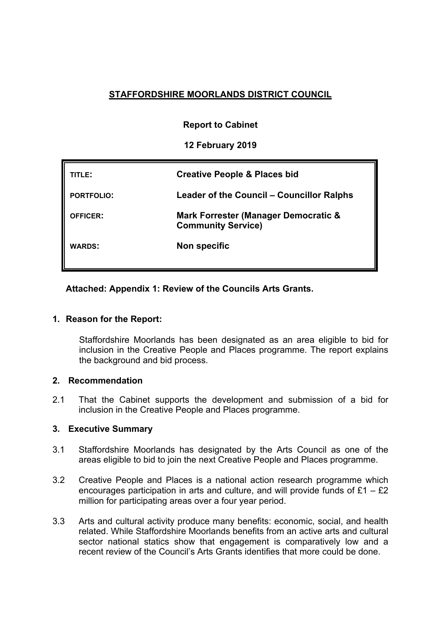# **STAFFORDSHIRE MOORLANDS DISTRICT COUNCIL**

# **Report to Cabinet**

# **12 February 2019**

| <b>ITLE:</b>      | <b>Creative People &amp; Places bid</b>                           |
|-------------------|-------------------------------------------------------------------|
| <b>PORTFOLIO:</b> | Leader of the Council - Councillor Ralphs                         |
| <b>OFFICER:</b>   | Mark Forrester (Manager Democratic &<br><b>Community Service)</b> |
| <b>WARDS:</b>     | Non specific                                                      |

# **Attached: Appendix 1: Review of the Councils Arts Grants.**

# **1. Reason for the Report:**

Staffordshire Moorlands has been designated as an area eligible to bid for inclusion in the Creative People and Places programme. The report explains the background and bid process.

# **2. Recommendation**

2.1 That the Cabinet supports the development and submission of a bid for inclusion in the Creative People and Places programme.

# **3. Executive Summary**

- 3.1 Staffordshire Moorlands has designated by the Arts Council as one of the areas eligible to bid to join the next Creative People and Places programme.
- 3.2 Creative People and Places is a national action research programme which encourages participation in arts and culture, and will provide funds of  $£1 - £2$ million for participating areas over a four year period.
- 3.3 Arts and cultural activity produce many benefits: economic, social, and health related. While Staffordshire Moorlands benefits from an active arts and cultural sector national statics show that engagement is comparatively low and a recent review of the Council's Arts Grants identifies that more could be done.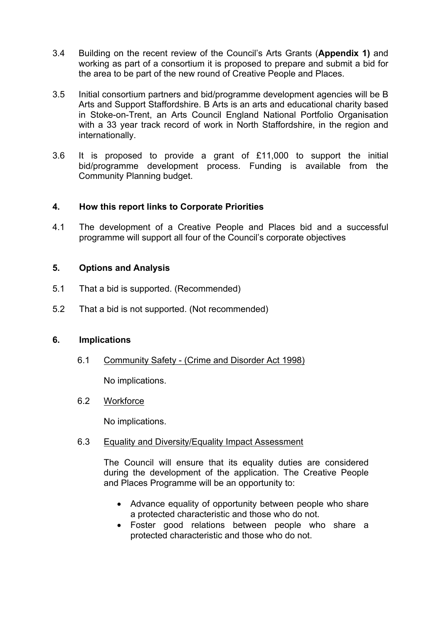- 3.4 Building on the recent review of the Council's Arts Grants (**Appendix 1)** and working as part of a consortium it is proposed to prepare and submit a bid for the area to be part of the new round of Creative People and Places.
- 3.5 Initial consortium partners and bid/programme development agencies will be B Arts and Support Staffordshire. B Arts is an arts and educational charity based in Stoke-on-Trent, an Arts Council England National Portfolio Organisation with a 33 year track record of work in North Staffordshire, in the region and internationally.
- 3.6 It is proposed to provide a grant of £11,000 to support the initial bid/programme development process. Funding is available from the Community Planning budget.

# **4. How this report links to Corporate Priorities**

4.1 The development of a Creative People and Places bid and a successful programme will support all four of the Council's corporate objectives

# **5. Options and Analysis**

- 5.1 That a bid is supported. (Recommended)
- 5.2 That a bid is not supported. (Not recommended)

# **6. Implications**

6.1 Community Safety - (Crime and Disorder Act 1998)

No implications.

# 6.2 Workforce

No implications.

# 6.3 Equality and Diversity/Equality Impact Assessment

The Council will ensure that its equality duties are considered during the development of the application. The Creative People and Places Programme will be an opportunity to:

- Advance equality of opportunity between people who share a protected characteristic and those who do not.
- Foster good relations between people who share a protected characteristic and those who do not.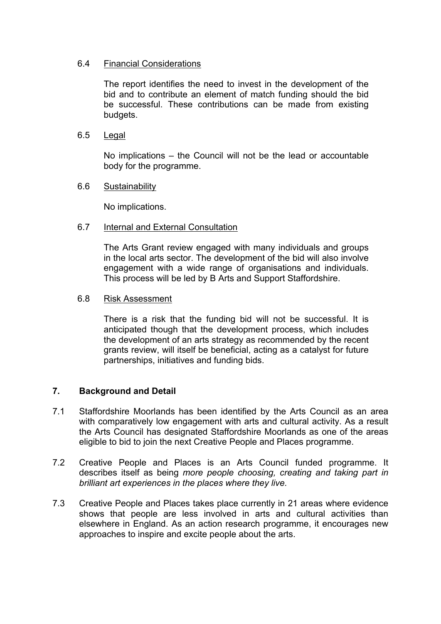# 6.4 Financial Considerations

The report identifies the need to invest in the development of the bid and to contribute an element of match funding should the bid be successful. These contributions can be made from existing budgets.

# 6.5 Legal

No implications – the Council will not be the lead or accountable body for the programme.

# 6.6 Sustainability

No implications.

# 6.7 Internal and External Consultation

The Arts Grant review engaged with many individuals and groups in the local arts sector. The development of the bid will also involve engagement with a wide range of organisations and individuals. This process will be led by B Arts and Support Staffordshire.

# 6.8 Risk Assessment

There is a risk that the funding bid will not be successful. It is anticipated though that the development process, which includes the development of an arts strategy as recommended by the recent grants review, will itself be beneficial, acting as a catalyst for future partnerships, initiatives and funding bids.

# **7. Background and Detail**

- 7.1 Staffordshire Moorlands has been identified by the Arts Council as an area with comparatively low engagement with arts and cultural activity. As a result the Arts Council has designated Staffordshire Moorlands as one of the areas eligible to bid to join the next Creative People and Places programme.
- 7.2 Creative People and Places is an Arts Council funded programme. It describes itself as being *more people choosing, creating and taking part in brilliant art experiences in the places where they live.*
- 7.3 Creative People and Places takes place currently in 21 areas where evidence shows that people are less involved in arts and cultural activities than elsewhere in England. As an action research programme, it encourages new approaches to inspire and excite people about the arts.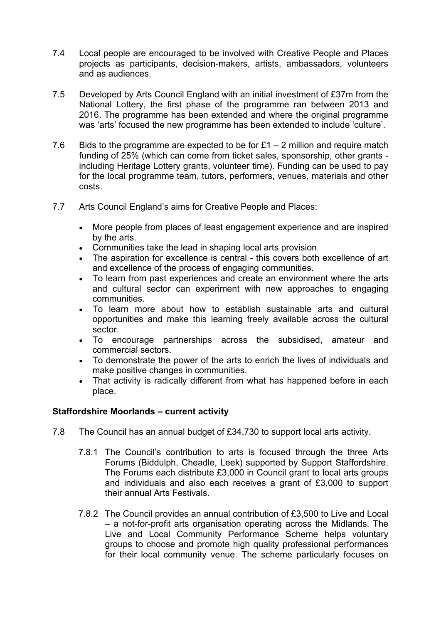- 7.4 Local people are encouraged to be involved with Creative People and Places projects as participants, decision-makers, artists, ambassadors, volunteers and as audiences.
- 7.5 Developed by Arts Council England with an initial investment of £37m from the National Lottery, the first phase of the programme ran between 2013 and 2016. The programme has been extended and where the original programme was 'arts' focused the new programme has been extended to include 'culture'.
- 7.6 Bids to the programme are expected to be for  $£1 2$  million and require match funding of 25% (which can come from ticket sales, sponsorship, other grants including Heritage Lottery grants, volunteer time). Funding can be used to pay for the local programme team, tutors, performers, venues, materials and other costs.
- 7.7 Arts Council England's aims for Creative People and Places:
	- More people from places of least engagement experience and are inspired by the arts.
	- Communities take the lead in shaping local arts provision.
	- The aspiration for excellence is central this covers both excellence of art and excellence of the process of engaging communities.
	- To learn from past experiences and create an environment where the arts and cultural sector can experiment with new approaches to engaging communities.
	- To learn more about how to establish sustainable arts and cultural opportunities and make this learning freely available across the cultural sector.
	- To encourage partnerships across the subsidised, amateur and commercial sectors.
	- To demonstrate the power of the arts to enrich the lives of individuals and make positive changes in communities.
	- That activity is radically different from what has happened before in each place.

# **Staffordshire Moorlands – current activity**

- 7.8 The Council has an annual budget of £34,730 to support local arts activity.
	- 7.8.1 The Council's contribution to arts is focused through the three Arts Forums (Biddulph, Cheadle, Leek) supported by Support Staffordshire. The Forums each distribute £3,000 in Council grant to local arts groups and individuals and also each receives a grant of £3,000 to support their annual Arts Festivals.
	- 7.8.2 The Council provides an annual contribution of £3,500 to Live and Local – a not-for-profit arts organisation operating across the Midlands. The Live and Local Community Performance Scheme helps voluntary groups to choose and promote high quality professional performances for their local community venue. The scheme particularly focuses on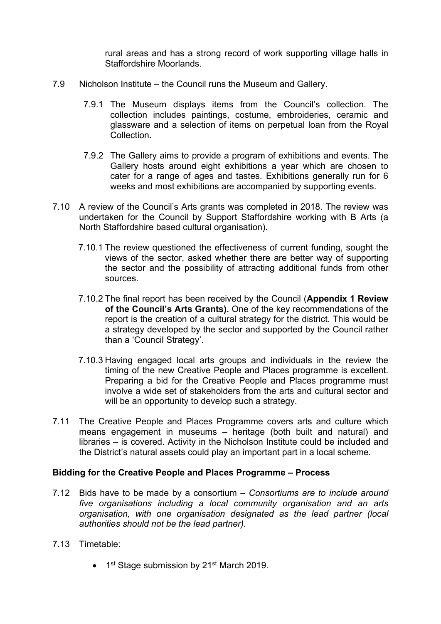rural areas and has a strong record of work supporting village halls in Staffordshire Moorlands.

- 7.9 Nicholson Institute the Council runs the Museum and Gallery.
	- 7.9.1 The Museum displays items from the Council's collection. The collection includes paintings, costume, embroideries, ceramic and glassware and a selection of items on perpetual loan from the Royal **Collection**
	- 7.9.2 The Gallery aims to provide a program of exhibitions and events. The Gallery hosts around eight exhibitions a year which are chosen to cater for a range of ages and tastes. Exhibitions generally run for 6 weeks and most exhibitions are accompanied by supporting events.
- 7.10 A review of the Council's Arts grants was completed in 2018. The review was undertaken for the Council by Support Staffordshire working with B Arts (a North Staffordshire based cultural organisation).
	- 7.10.1 The review questioned the effectiveness of current funding, sought the views of the sector, asked whether there are better way of supporting the sector and the possibility of attracting additional funds from other sources.
	- 7.10.2 The final report has been received by the Council (**Appendix 1 Review of the Council's Arts Grants).** One of the key recommendations of the report is the creation of a cultural strategy for the district. This would be a strategy developed by the sector and supported by the Council rather than a 'Council Strategy'.
	- 7.10.3 Having engaged local arts groups and individuals in the review the timing of the new Creative People and Places programme is excellent. Preparing a bid for the Creative People and Places programme must involve a wide set of stakeholders from the arts and cultural sector and will be an opportunity to develop such a strategy.
- 7.11 The Creative People and Places Programme covers arts and culture which means engagement in museums – heritage (both built and natural) and libraries – is covered. Activity in the Nicholson Institute could be included and the District's natural assets could play an important part in a local scheme.

#### **Bidding for the Creative People and Places Programme – Process**

- 7.12 Bids have to be made by a consortium *Consortiums are to include around five organisations including a local community organisation and an arts organisation, with one organisation designated as the lead partner (local authorities should not be the lead partner).*
- 7.13 Timetable:
	- 1<sup>st</sup> Stage submission by 21<sup>st</sup> March 2019.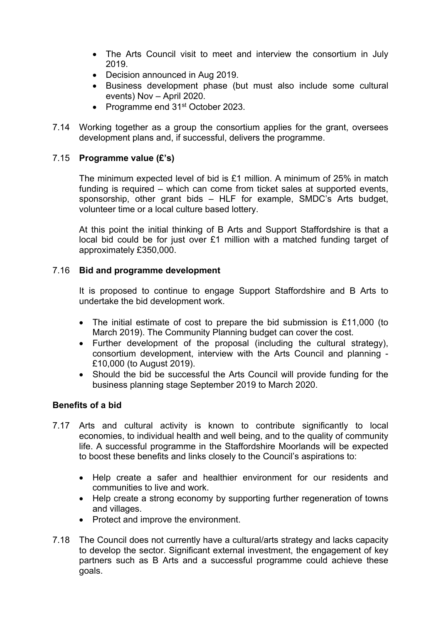- The Arts Council visit to meet and interview the consortium in July 2019.
- Decision announced in Aug 2019.
- Business development phase (but must also include some cultural events) Nov – April 2020.
- Programme end 31<sup>st</sup> October 2023.
- 7.14 Working together as a group the consortium applies for the grant, oversees development plans and, if successful, delivers the programme.

# 7.15 **Programme value (£'s)**

The minimum expected level of bid is £1 million. A minimum of 25% in match funding is required – which can come from ticket sales at supported events, sponsorship, other grant bids – HLF for example, SMDC's Arts budget, volunteer time or a local culture based lottery.

At this point the initial thinking of B Arts and Support Staffordshire is that a local bid could be for just over £1 million with a matched funding target of approximately £350,000.

# 7.16 **Bid and programme development**

It is proposed to continue to engage Support Staffordshire and B Arts to undertake the bid development work.

- The initial estimate of cost to prepare the bid submission is £11,000 (to March 2019). The Community Planning budget can cover the cost.
- Further development of the proposal (including the cultural strategy), consortium development, interview with the Arts Council and planning - £10,000 (to August 2019).
- Should the bid be successful the Arts Council will provide funding for the business planning stage September 2019 to March 2020.

# **Benefits of a bid**

- 7.17 Arts and cultural activity is known to contribute significantly to local economies, to individual health and well being, and to the quality of community life. A successful programme in the Staffordshire Moorlands will be expected to boost these benefits and links closely to the Council's aspirations to:
	- Help create a safer and healthier environment for our residents and communities to live and work.
	- Help create a strong economy by supporting further regeneration of towns and villages.
	- Protect and improve the environment.
- 7.18 The Council does not currently have a cultural/arts strategy and lacks capacity to develop the sector. Significant external investment, the engagement of key partners such as B Arts and a successful programme could achieve these goals.